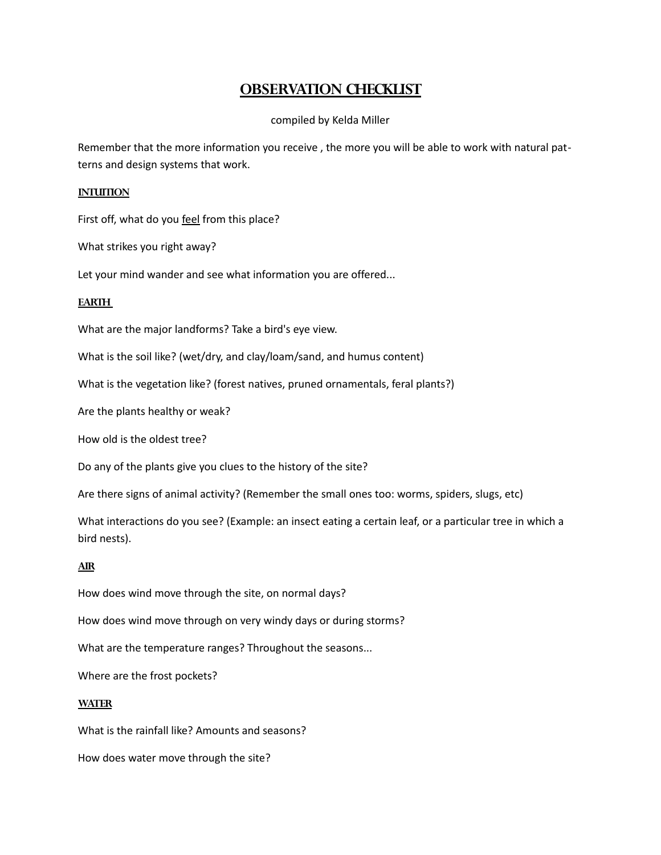# **OBSERVATION CHECKLIST**

## compiled by Kelda Miller

Remember that the more information you receive , the more you will be able to work with natural patterns and design systems that work.

### **INTUITION**

First off, what do you feel from this place?

What strikes you right away?

Let your mind wander and see what information you are offered...

## **EARTH**

What are the major landforms? Take a bird's eye view.

What is the soil like? (wet/dry, and clay/loam/sand, and humus content)

What is the vegetation like? (forest natives, pruned ornamentals, feral plants?)

Are the plants healthy or weak?

How old is the oldest tree?

Do any of the plants give you clues to the history of the site?

Are there signs of animal activity? (Remember the small ones too: worms, spiders, slugs, etc)

What interactions do you see? (Example: an insect eating a certain leaf, or a particular tree in which a bird nests).

#### **AIR**

How does wind move through the site, on normal days?

How does wind move through on very windy days or during storms?

What are the temperature ranges? Throughout the seasons...

Where are the frost pockets?

#### **WATER**

What is the rainfall like? Amounts and seasons?

How does water move through the site?